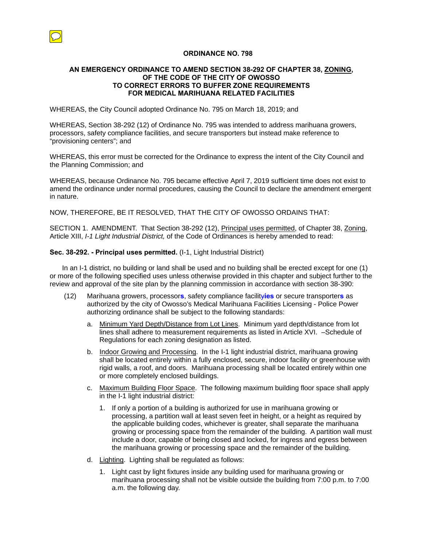

## **ORDINANCE NO. 798**

## **AN EMERGENCY ORDINANCE TO AMEND SECTION 38-292 OF CHAPTER 38, ZONING, OF THE CODE OF THE CITY OF OWOSSO TO CORRECT ERRORS TO BUFFER ZONE REQUIREMENTS FOR MEDICAL MARIHUANA RELATED FACILITIES**

WHEREAS, the City Council adopted Ordinance No. 795 on March 18, 2019; and

WHEREAS, Section 38-292 (12) of Ordinance No. 795 was intended to address marihuana growers, processors, safety compliance facilities, and secure transporters but instead make reference to "provisioning centers"; and

WHEREAS, this error must be corrected for the Ordinance to express the intent of the City Council and the Planning Commission; and

WHEREAS, because Ordinance No. 795 became effective April 7, 2019 sufficient time does not exist to amend the ordinance under normal procedures, causing the Council to declare the amendment emergent in nature.

NOW, THEREFORE, BE IT RESOLVED, THAT THE CITY OF OWOSSO ORDAINS THAT:

SECTION 1. AMENDMENT. That Section 38-292 (12), Principal uses permitted, of Chapter 38, Zoning, Article XIII, *I-1 Light Industrial District,* of the Code of Ordinances is hereby amended to read:

## **Sec. 38-292. - Principal uses permitted.** (I-1, Light Industrial District)

In an I-1 district, no building or land shall be used and no building shall be erected except for one (1) or more of the following specified uses unless otherwise provided in this chapter and subject further to the review and approval of the site plan by the planning commission in accordance with section 38-390:

- (12) Marihuana growers, processor**s**, safety compliance facility**ies** or secure transporter**s** as authorized by the city of Owosso's Medical Marihuana Facilities Licensing - Police Power authorizing ordinance shall be subject to the following standards:
	- a. Minimum Yard Depth/Distance from Lot Lines. Minimum yard depth/distance from lot lines shall adhere to measurement requirements as listed in Article XVI. –Schedule of Regulations for each zoning designation as listed.
	- b. Indoor Growing and Processing. In the I-1 light industrial district, marihuana growing shall be located entirely within a fully enclosed, secure, indoor facility or greenhouse with rigid walls, a roof, and doors. Marihuana processing shall be located entirely within one or more completely enclosed buildings.
	- c. Maximum Building Floor Space. The following maximum building floor space shall apply in the I-1 light industrial district:
		- 1. If only a portion of a building is authorized for use in marihuana growing or processing, a partition wall at least seven feet in height, or a height as required by the applicable building codes, whichever is greater, shall separate the marihuana growing or processing space from the remainder of the building. A partition wall must include a door, capable of being closed and locked, for ingress and egress between the marihuana growing or processing space and the remainder of the building.
	- d. Lighting. Lighting shall be regulated as follows:
		- 1. Light cast by light fixtures inside any building used for marihuana growing or marihuana processing shall not be visible outside the building from 7:00 p.m. to 7:00 a.m. the following day.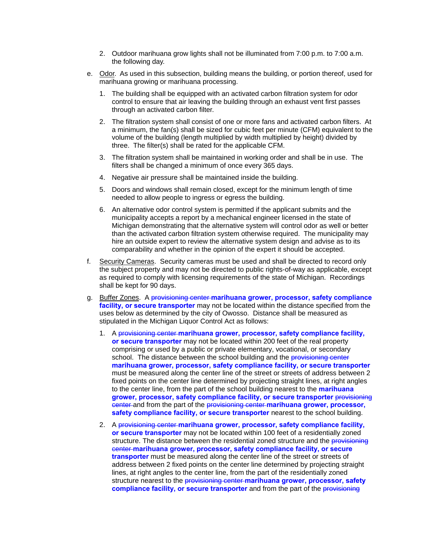- 2. Outdoor marihuana grow lights shall not be illuminated from 7:00 p.m. to 7:00 a.m. the following day.
- e. Odor. As used in this subsection, building means the building, or portion thereof, used for marihuana growing or marihuana processing.
	- 1. The building shall be equipped with an activated carbon filtration system for odor control to ensure that air leaving the building through an exhaust vent first passes through an activated carbon filter.
	- 2. The filtration system shall consist of one or more fans and activated carbon filters. At a minimum, the fan(s) shall be sized for cubic feet per minute (CFM) equivalent to the volume of the building (length multiplied by width multiplied by height) divided by three. The filter(s) shall be rated for the applicable CFM.
	- 3. The filtration system shall be maintained in working order and shall be in use. The filters shall be changed a minimum of once every 365 days.
	- 4. Negative air pressure shall be maintained inside the building.
	- 5. Doors and windows shall remain closed, except for the minimum length of time needed to allow people to ingress or egress the building.
	- 6. An alternative odor control system is permitted if the applicant submits and the municipality accepts a report by a mechanical engineer licensed in the state of Michigan demonstrating that the alternative system will control odor as well or better than the activated carbon filtration system otherwise required. The municipality may hire an outside expert to review the alternative system design and advise as to its comparability and whether in the opinion of the expert it should be accepted.
- f. Security Cameras. Security cameras must be used and shall be directed to record only the subject property and may not be directed to public rights-of-way as applicable, except as required to comply with licensing requirements of the state of Michigan. Recordings shall be kept for 90 days.
- g. Buffer Zones. A provisioning center **marihuana grower, processor, safety compliance facility, or secure transporter** may not be located within the distance specified from the uses below as determined by the city of Owosso. Distance shall be measured as stipulated in the Michigan Liquor Control Act as follows:
	- 1. A provisioning center **marihuana grower, processor, safety compliance facility, or secure transporter** may not be located within 200 feet of the real property comprising or used by a public or private elementary, vocational, or secondary school. The distance between the school building and the **provisioning center marihuana grower, processor, safety compliance facility, or secure transporter**  must be measured along the center line of the street or streets of address between 2 fixed points on the center line determined by projecting straight lines, at right angles to the center line, from the part of the school building nearest to the **marihuana grower, processor, safety compliance facility, or secure transporter** provisioning center and from the part of the provisioning center **marihuana grower, processor, safety compliance facility, or secure transporter** nearest to the school building.
	- 2. A provisioning center **marihuana grower, processor, safety compliance facility, or secure transporter** may not be located within 100 feet of a residentially zoned structure. The distance between the residential zoned structure and the **provisioning** center **marihuana grower, processor, safety compliance facility, or secure transporter** must be measured along the center line of the street or streets of address between 2 fixed points on the center line determined by projecting straight lines, at right angles to the center line, from the part of the residentially zoned structure nearest to the provisioning center **marihuana grower, processor, safety compliance facility, or secure transporter** and from the part of the provisioning